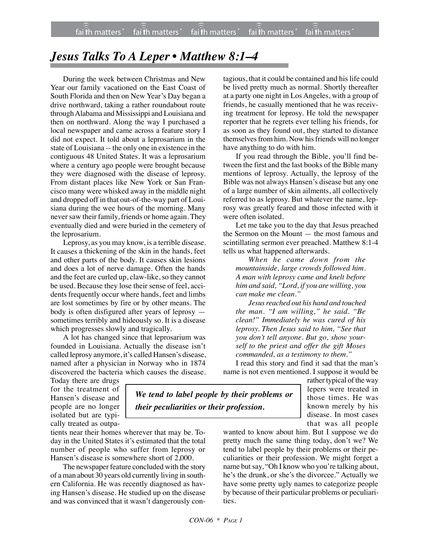## *Jesus Talks To A Leper • Matthew 8:1–4*

During the week between Christmas and New Year our family vacationed on the East Coast of South Florida and then on New Year's Day began a drive northward, taking a rather roundabout route through Alabama and Mississippi and Louisiana and then on northward. Along the way I purchased a local newspaper and came across a feature story I did not expect. It told about a leprosarium in the state of Louisiana -- the only one in existence in the contiguous 48 United States. It was a leprosarium where a century ago people were brought because they were diagnosed with the disease of leprosy. From distant places like New York or San Francisco many were whisked away in the middle night and dropped off in that out-of-the-way part of Louisiana during the wee hours of the morning. Many never saw their family, friends or home again. They eventually died and were buried in the cemetery of the leprosarium.

Leprosy, as you may know, is a terrible disease. It causes a thickening of the skin in the hands, feet and other parts of the body. It causes skin lesions and does a lot of nerve damage. Often the hands and the feet are curled up, claw-like, so they cannot be used. Because they lose their sense of feel, accidents frequently occur where hands, feet and limbs are lost sometimes by fire or by other means. The body is often disfigured after years of leprosy sometimes terribly and hideously so. It is a disease which progresses slowly and tragically.

A lot has changed since that leprosarium was founded in Louisiana. Actually the disease isn't called leprosy anymore, it's called Hansen's disease, named after a physician in Norway who in 1874 discovered the bacteria which causes the disease.

tagious, that it could be contained and his life could be lived pretty much as normal. Shortly thereafter at a party one night in Los Angeles, with a group of friends, he casually mentioned that he was receiving treatment for leprosy. He told the newspaper reporter that he regrets ever telling his friends, for as soon as they found out, they started to distance themselves from him. Now his friends will no longer have anything to do with him.

If you read through the Bible, you'll find between the first and the last books of the Bible many mentions of leprosy. Actually, the leprosy of the Bible was not always Hansen's disease but any one of a large number of skin ailments, all collectively referred to as leprosy. But whatever the name, leprosy was greatly feared and those infected with it were often isolated.

Let me take you to the day that Jesus preached the Sermon on the Mount — the most famous and scintillating sermon ever preached. Matthew 8:1-4 tells us what happened afterwards.

*When he came down from the mountainside, large crowds followed him. A man with leprosy came and knelt before him and said, "Lord, if you are willing, you can make me clean."*

*Jesus reached out his hand and touched the man. "I am willing," he said. "Be clean!" Immediately he was cured of his leprosy. Then Jesus said to him, "See that you don't tell anyone. But go, show yourself to the priest and offer the gift Moses commanded, as a testimony to them."*

I read this story and find it sad that the man's name is not even mentioned. I suppose it would be

Today there are drugs for the treatment of Hansen's disease and people are no longer isolated but are typically treated as outpa-

tients near their homes wherever that may be. Today in the United States it's estimated that the total number of people who suffer from leprosy or Hansen's disease is somewhere short of 2,000.

The newspaper feature concluded with the story of a man about 30 years old currently living in southern California. He was recently diagnosed as having Hansen's disease. He studied up on the disease and was convinced that it wasn't dangerously con-

*We tend to label people by their problems or their peculiarities or their profession.*

rather typical of the way lepers were treated in those times. He was known merely by his disease. In most cases that was all people

wanted to know about him. But I suppose we do pretty much the same thing today, don't we? We tend to label people by their problems or their peculiarities or their profession. We might forget a name but say, "Oh I know who you're talking about, he's the drunk, or she's the divorcee." Actually we have some pretty ugly names to categorize people by because of their particular problems or peculiarities.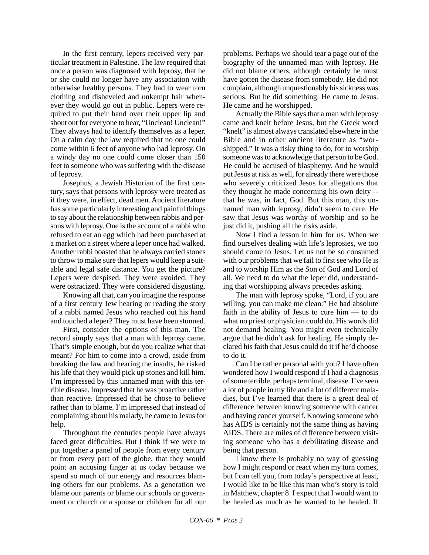In the first century, lepers received very particular treatment in Palestine. The law required that once a person was diagnosed with leprosy, that he or she could no longer have any association with otherwise healthy persons. They had to wear torn clothing and disheveled and unkempt hair whenever they would go out in public. Lepers were required to put their hand over their upper lip and shout out for everyone to hear, "Unclean! Unclean!" They always had to identify themselves as a leper. On a calm day the law required that no one could come within 6 feet of anyone who had leprosy. On a windy day no one could come closer than 150 feet to someone who was suffering with the disease of leprosy.

Josephus, a Jewish Historian of the first century, says that persons with leprosy were treated as if they were, in effect, dead men. Ancient literature has some particularly interesting and painful things to say about the relationship between rabbis and persons with leprosy. One is the account of a rabbi who refused to eat an egg which had been purchased at a market on a street where a leper once had walked. Another rabbi boasted that he always carried stones to throw to make sure that lepers would keep a suitable and legal safe distance. You get the picture? Lepers were despised. They were avoided. They were ostracized. They were considered disgusting.

Knowing all that, can you imagine the response of a first century Jew hearing or reading the story of a rabbi named Jesus who reached out his hand and touched a leper? They must have been stunned.

First, consider the options of this man. The record simply says that a man with leprosy came. That's simple enough, but do you realize what that meant? For him to come into a crowd, aside from breaking the law and hearing the insults, he risked his life that they would pick up stones and kill him. I'm impressed by this unnamed man with this terrible disease. Impressed that he was proactive rather than reactive. Impressed that he chose to believe rather than to blame. I'm impressed that instead of complaining about his malady, he came to Jesus for help.

Throughout the centuries people have always faced great difficulties. But I think if we were to put together a panel of people from every century or from every part of the globe, that they would point an accusing finger at us today because we spend so much of our energy and resources blaming others for our problems. As a generation we blame our parents or blame our schools or government or church or a spouse or children for all our

problems. Perhaps we should tear a page out of the biography of the unnamed man with leprosy. He did not blame others, although certainly he must have gotten the disease from somebody. He did not complain, although unquestionably his sickness was serious. But he did something. He came to Jesus. He came and he worshipped.

Actually the Bible says that a man with leprosy came and knelt before Jesus, but the Greek word "knelt" is almost always translated elsewhere in the Bible and in other ancient literature as "worshipped." It was a risky thing to do, for to worship someone was to acknowledge that person to be God. He could be accused of blasphemy. And he would put Jesus at risk as well, for already there were those who severely criticized Jesus for allegations that they thought he made concerning his own deity - that he was, in fact, God. But this man, this unnamed man with leprosy, didn't seem to care. He saw that Jesus was worthy of worship and so he just did it, pushing all the risks aside.

Now I find a lesson in him for us. When we find ourselves dealing with life's leprosies, we too should come to Jesus. Let us not be so consumed with our problems that we fail to first see who He is and to worship Him as the Son of God and Lord of all. We need to do what the leper did, understanding that worshipping always precedes asking.

The man with leprosy spoke, "Lord, if you are willing, you can make me clean." He had absolute faith in the ability of Jesus to cure him — to do what no priest or physician could do. His words did not demand healing. You might even technically argue that he didn't ask for healing. He simply declared his faith that Jesus could do it if he'd choose to do it.

Can I be rather personal with you? I have often wondered how I would respond if I had a diagnosis of some terrible, perhaps terminal, disease. I've seen a lot of people in my life and a lot of different maladies, but I've learned that there is a great deal of difference between knowing someone with cancer and having cancer yourself. Knowing someone who has AIDS is certainly not the same thing as having AIDS. There are miles of difference between visiting someone who has a debilitating disease and being that person.

I know there is probably no way of guessing how I might respond or react when my turn comes, but I can tell you, from today's perspective at least, I would like to be like this man who's story is told in Matthew, chapter 8. I expect that I would want to be healed as much as he wanted to be healed. If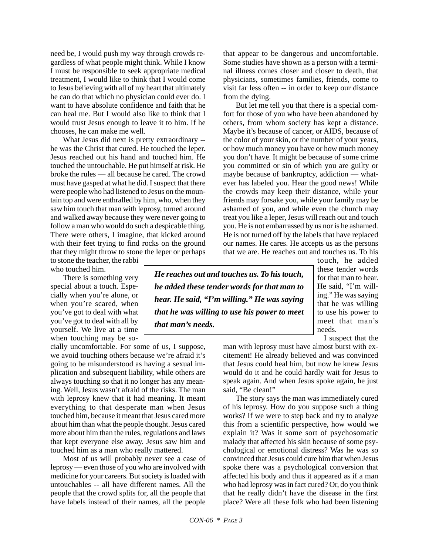need be, I would push my way through crowds regardless of what people might think. While I know I must be responsible to seek appropriate medical treatment, I would like to think that I would come to Jesus believing with all of my heart that ultimately he can do that which no physician could ever do. I want to have absolute confidence and faith that he can heal me. But I would also like to think that I would trust Jesus enough to leave it to him. If he chooses, he can make me well.

What Jesus did next is pretty extraordinary - he was the Christ that cured. He touched the leper. Jesus reached out his hand and touched him. He touched the untouchable. He put himself at risk. He broke the rules — all because he cared. The crowd must have gasped at what he did. I suspect that there were people who had listened to Jesus on the mountain top and were enthralled by him, who, when they saw him touch that man with leprosy, turned around and walked away because they were never going to follow a man who would do such a despicable thing. There were others, I imagine, that kicked around with their feet trying to find rocks on the ground that they might throw to stone the leper or perhaps

to stone the teacher, the rabbi who touched him.

There is something very special about a touch. Especially when you're alone, or when you're scared, when you've got to deal with what you've got to deal with all by yourself. We live at a time when touching may be so-

cially uncomfortable. For some of us, I suppose, we avoid touching others because we're afraid it's going to be misunderstood as having a sexual implication and subsequent liability, while others are always touching so that it no longer has any meaning. Well, Jesus wasn't afraid of the risks. The man with leprosy knew that it had meaning. It meant everything to that desperate man when Jesus touched him, because it meant that Jesus cared more about him than what the people thought. Jesus cared more about him than the rules, regulations and laws that kept everyone else away. Jesus saw him and touched him as a man who really mattered.

Most of us will probably never see a case of leprosy — even those of you who are involved with medicine for your careers. But society is loaded with untouchables -- all have different names. All the people that the crowd splits for, all the people that have labels instead of their names, all the people that appear to be dangerous and uncomfortable. Some studies have shown as a person with a terminal illness comes closer and closer to death, that physicians, sometimes families, friends, come to visit far less often -- in order to keep our distance from the dying.

But let me tell you that there is a special comfort for those of you who have been abandoned by others, from whom society has kept a distance. Maybe it's because of cancer, or AIDS, because of the color of your skin, or the number of your years, or how much money you have or how much money you don't have. It might be because of some crime you committed or sin of which you are guilty or maybe because of bankruptcy, addiction — whatever has labeled you. Hear the good news! While the crowds may keep their distance, while your friends may forsake you, while your family may be ashamed of you, and while even the church may treat you like a leper, Jesus will reach out and touch you. He is not embarrassed by us nor is he ashamed. He is not turned off by the labels that have replaced our names. He cares. He accepts us as the persons that we are. He reaches out and touches us. To his

*He reaches out and touches us. To his touch, he added these tender words for that man to hear. He said, "I'm willing." He was saying that he was willing to use his power to meet that man's needs.*

touch, he added these tender words for that man to hear. He said, "I'm willing." He was saying that he was willing to use his power to meet that man's needs.

I suspect that the

man with leprosy must have almost burst with excitement! He already believed and was convinced that Jesus could heal him, but now he knew Jesus would do it and he could hardly wait for Jesus to speak again. And when Jesus spoke again, he just said, "Be clean!"

The story says the man was immediately cured of his leprosy. How do you suppose such a thing works? If we were to step back and try to analyze this from a scientific perspective, how would we explain it? Was it some sort of psychosomatic malady that affected his skin because of some psychological or emotional distress? Was he was so convinced that Jesus could cure him that when Jesus spoke there was a psychological conversion that affected his body and thus it appeared as if a man who had leprosy was in fact cured? Or, do you think that he really didn't have the disease in the first place? Were all these folk who had been listening